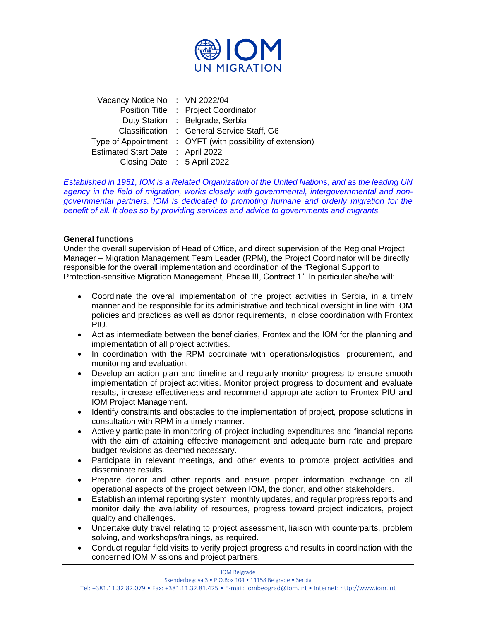

| Vacancy Notice No : VN 2022/04    |                                                            |
|-----------------------------------|------------------------------------------------------------|
|                                   | Position Title : Project Coordinator                       |
|                                   | Duty Station : Belgrade, Serbia                            |
|                                   | Classification : General Service Staff, G6                 |
|                                   | Type of Appointment : OYFT (with possibility of extension) |
| Estimated Start Date : April 2022 |                                                            |
| Closing Date : 5 April 2022       |                                                            |

*Established in 1951, IOM is a Related Organization of the United Nations, and as the leading UN agency in the field of migration, works closely with governmental, intergovernmental and nongovernmental partners. IOM is dedicated to promoting humane and orderly migration for the benefit of all. It does so by providing services and advice to governments and migrants.*

#### **General functions**

Under the overall supervision of Head of Office, and direct supervision of the Regional Project Manager – Migration Management Team Leader (RPM), the Project Coordinator will be directly responsible for the overall implementation and coordination of the "Regional Support to Protection-sensitive Migration Management, Phase III, Contract 1". In particular she/he will:

- Coordinate the overall implementation of the project activities in Serbia, in a timely manner and be responsible for its administrative and technical oversight in line with IOM policies and practices as well as donor requirements, in close coordination with Frontex PIU.
- Act as intermediate between the beneficiaries, Frontex and the IOM for the planning and implementation of all project activities.
- In coordination with the RPM coordinate with operations/logistics, procurement, and monitoring and evaluation.
- Develop an action plan and timeline and regularly monitor progress to ensure smooth implementation of project activities. Monitor project progress to document and evaluate results, increase effectiveness and recommend appropriate action to Frontex PIU and IOM Project Management.
- Identify constraints and obstacles to the implementation of project, propose solutions in consultation with RPM in a timely manner.
- Actively participate in monitoring of project including expenditures and financial reports with the aim of attaining effective management and adequate burn rate and prepare budget revisions as deemed necessary.
- Participate in relevant meetings, and other events to promote project activities and disseminate results.
- Prepare donor and other reports and ensure proper information exchange on all operational aspects of the project between IOM, the donor, and other stakeholders.
- Establish an internal reporting system, monthly updates, and regular progress reports and monitor daily the availability of resources, progress toward project indicators, project quality and challenges.
- Undertake duty travel relating to project assessment, liaison with counterparts, problem solving, and workshops/trainings, as required.
- Conduct regular field visits to verify project progress and results in coordination with the concerned IOM Missions and project partners.